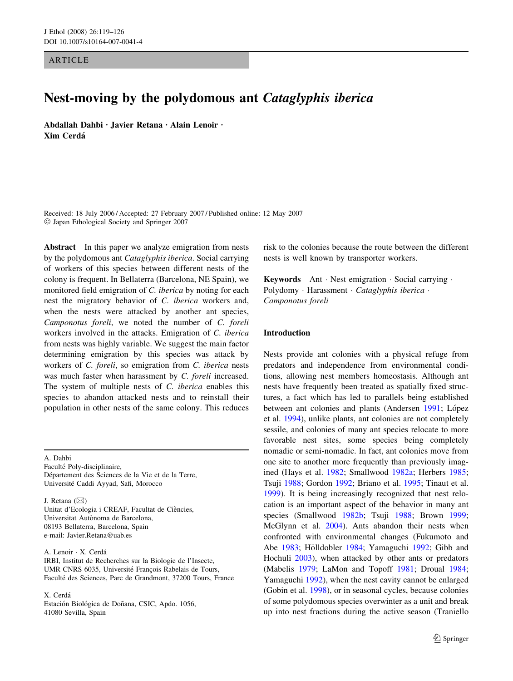**ARTICLE** 

# Nest-moving by the polydomous ant Cataglyphis iberica

Abdallah Dahbi Lavier Retana · Alain Lenoir · Xim Cerda´

Received: 18 July 2006 / Accepted: 27 February 2007 / Published online: 12 May 2007 Japan Ethological Society and Springer 2007

Abstract In this paper we analyze emigration from nests by the polydomous ant Cataglyphis iberica. Social carrying of workers of this species between different nests of the colony is frequent. In Bellaterra (Barcelona, NE Spain), we monitored field emigration of C. iberica by noting for each nest the migratory behavior of C. iberica workers and, when the nests were attacked by another ant species, Camponotus foreli, we noted the number of C. foreli workers involved in the attacks. Emigration of C. iberica from nests was highly variable. We suggest the main factor determining emigration by this species was attack by workers of C. foreli, so emigration from C. iberica nests was much faster when harassment by C. foreli increased. The system of multiple nests of C. iberica enables this species to abandon attacked nests and to reinstall their population in other nests of the same colony. This reduces

A. Dahbi

Faculté Poly-disciplinaire, Département des Sciences de la Vie et de la Terre, Université Caddi Ayyad, Safi, Morocco

J. Retana  $(\boxtimes)$ 

Unitat d'Ecologia i CREAF, Facultat de Ciències, Universitat Autònoma de Barcelona, 08193 Bellaterra, Barcelona, Spain e-mail: Javier.Retana@uab.es

A. Lenoir · X. Cerdá

IRBI, Institut de Recherches sur la Biologie de l'Insecte, UMR CNRS 6035, Université François Rabelais de Tours, Faculté des Sciences, Parc de Grandmont, 37200 Tours, France

X. Cerda´

Estación Biológica de Doñana, CSIC, Apdo. 1056, 41080 Sevilla, Spain

risk to the colonies because the route between the different nests is well known by transporter workers.

Keywords Ant  $\cdot$  Nest emigration  $\cdot$  Social carrying  $\cdot$ Polydomy · Harassment · Cataglyphis iberica · Camponotus foreli

## Introduction

Nests provide ant colonies with a physical refuge from predators and independence from environmental conditions, allowing nest members homeostasis. Although ant nests have frequently been treated as spatially fixed structures, a fact which has led to parallels being established between ant colonies and plants (Andersen [1991;](#page-5-0) López et al. [1994\)](#page-6-0), unlike plants, ant colonies are not completely sessile, and colonies of many ant species relocate to more favorable nest sites, some species being completely nomadic or semi-nomadic. In fact, ant colonies move from one site to another more frequently than previously imagined (Hays et al. [1982](#page-6-0); Smallwood [1982a;](#page-6-0) Herbers [1985](#page-6-0); Tsuji [1988;](#page-6-0) Gordon [1992](#page-6-0); Briano et al. [1995;](#page-5-0) Tinaut et al. [1999](#page-6-0)). It is being increasingly recognized that nest relocation is an important aspect of the behavior in many ant species (Smallwood [1982b;](#page-6-0) Tsuji [1988](#page-6-0); Brown [1999](#page-5-0); McGlynn et al. [2004](#page-6-0)). Ants abandon their nests when confronted with environmental changes (Fukumoto and Abe [1983;](#page-6-0) Hölldobler [1984](#page-6-0); Yamaguchi [1992;](#page-7-0) Gibb and Hochuli [2003](#page-6-0)), when attacked by other ants or predators (Mabelis [1979;](#page-6-0) LaMon and Topoff [1981;](#page-6-0) Droual [1984](#page-5-0); Yamaguchi [1992\)](#page-7-0), when the nest cavity cannot be enlarged (Gobin et al. [1998\)](#page-6-0), or in seasonal cycles, because colonies of some polydomous species overwinter as a unit and break up into nest fractions during the active season (Traniello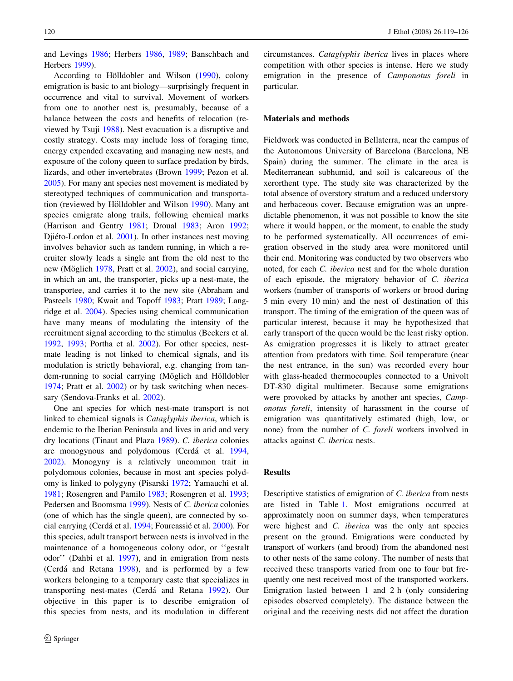and Levings [1986;](#page-6-0) Herbers [1986,](#page-6-0) [1989](#page-6-0); Banschbach and Herbers [1999\)](#page-5-0).

According to Hölldobler and Wilson ([1990](#page-6-0)), colony emigration is basic to ant biology—surprisingly frequent in occurrence and vital to survival. Movement of workers from one to another nest is, presumably, because of a balance between the costs and benefits of relocation (reviewed by Tsuji [1988\)](#page-6-0). Nest evacuation is a disruptive and costly strategy. Costs may include loss of foraging time, energy expended excavating and managing new nests, and exposure of the colony queen to surface predation by birds, lizards, and other invertebrates (Brown [1999;](#page-5-0) Pezon et al. [2005\)](#page-6-0). For many ant species nest movement is mediated by stereotyped techniques of communication and transporta-tion (reviewed by Hölldobler and Wilson [1990\)](#page-6-0). Many ant species emigrate along trails, following chemical marks (Harrison and Gentry [1981](#page-6-0); Droual [1983](#page-5-0); Aron [1992](#page-5-0); Djiéto-Lordon et al. [2001](#page-5-0)). In other instances nest moving involves behavior such as tandem running, in which a recruiter slowly leads a single ant from the old nest to the new (Möglich [1978,](#page-6-0) Pratt et al. [2002\)](#page-6-0), and social carrying, in which an ant, the transporter, picks up a nest-mate, the transportee, and carries it to the new site (Abraham and Pasteels [1980;](#page-5-0) Kwait and Topoff [1983](#page-6-0); Pratt [1989;](#page-6-0) Langridge et al. [2004\)](#page-6-0). Species using chemical communication have many means of modulating the intensity of the recruitment signal according to the stimulus (Beckers et al. [1992,](#page-5-0) [1993;](#page-5-0) Portha et al. [2002\)](#page-6-0). For other species, nestmate leading is not linked to chemical signals, and its modulation is strictly behavioral, e.g. changing from tandem-running to social carrying (Möglich and Hölldobler [1974;](#page-6-0) Pratt et al. [2002\)](#page-6-0) or by task switching when necessary (Sendova-Franks et al. [2002](#page-6-0)).

One ant species for which nest-mate transport is not linked to chemical signals is Cataglyphis iberica, which is endemic to the Iberian Peninsula and lives in arid and very dry locations (Tinaut and Plaza [1989\)](#page-6-0). C. iberica colonies are monogynous and polydomous (Cerdá et al. [1994,](#page-5-0) [2002\)](#page-5-0). Monogyny is a relatively uncommon trait in polydomous colonies, because in most ant species polydomy is linked to polygyny (Pisarski [1972](#page-6-0); Yamauchi et al. [1981;](#page-7-0) Rosengren and Pamilo [1983;](#page-6-0) Rosengren et al. [1993](#page-6-0); Pedersen and Boomsma [1999\)](#page-6-0). Nests of C. iberica colonies (one of which has the single queen), are connected by so-cial carrying (Cerdá et al. [1994](#page-5-0); Fourcassié et al. [2000](#page-5-0)). For this species, adult transport between nests is involved in the maintenance of a homogeneous colony odor, or ''gestalt odor'' (Dahbi et al. [1997](#page-5-0)), and in emigration from nests  $(Cer<sub>dá</sub> and Retana 1998)$  $(Cer<sub>dá</sub> and Retana 1998)$  $(Cer<sub>dá</sub> and Retana 1998)$ , and is performed by a few workers belonging to a temporary caste that specializes in transporting nest-mates (Cerdá and Retana [1992\)](#page-5-0). Our objective in this paper is to describe emigration of this species from nests, and its modulation in different circumstances. Cataglyphis iberica lives in places where competition with other species is intense. Here we study emigration in the presence of Camponotus foreli in particular.

#### Materials and methods

Fieldwork was conducted in Bellaterra, near the campus of the Autonomous University of Barcelona (Barcelona, NE Spain) during the summer. The climate in the area is Mediterranean subhumid, and soil is calcareous of the xerorthent type. The study site was characterized by the total absence of overstory stratum and a reduced understory and herbaceous cover. Because emigration was an unpredictable phenomenon, it was not possible to know the site where it would happen, or the moment, to enable the study to be performed systematically. All occurrences of emigration observed in the study area were monitored until their end. Monitoring was conducted by two observers who noted, for each C. iberica nest and for the whole duration of each episode, the migratory behavior of C. iberica workers (number of transports of workers or brood during 5 min every 10 min) and the nest of destination of this transport. The timing of the emigration of the queen was of particular interest, because it may be hypothesized that early transport of the queen would be the least risky option. As emigration progresses it is likely to attract greater attention from predators with time. Soil temperature (near the nest entrance, in the sun) was recorded every hour with glass-headed thermocouples connected to a Univolt DT-830 digital multimeter. Because some emigrations were provoked by attacks by another ant species, Camponotus foreli, intensity of harassment in the course of emigration was quantitatively estimated (high, low, or none) from the number of C. foreli workers involved in attacks against C. iberica nests.

### Results

Descriptive statistics of emigration of C. iberica from nests are listed in Table [1.](#page-2-0) Most emigrations occurred at approximately noon on summer days, when temperatures were highest and *C. iberica* was the only ant species present on the ground. Emigrations were conducted by transport of workers (and brood) from the abandoned nest to other nests of the same colony. The number of nests that received these transports varied from one to four but frequently one nest received most of the transported workers. Emigration lasted between 1 and 2 h (only considering episodes observed completely). The distance between the original and the receiving nests did not affect the duration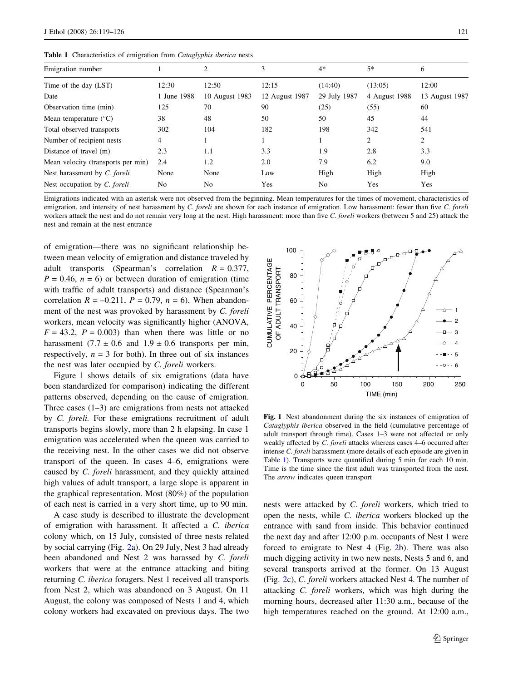<span id="page-2-0"></span>Table 1 Characteristics of emigration from Cataglyphis iberica nests

| Emigration number                  |                | 2              | 3              | $4*$           | $5*$          | 6              |
|------------------------------------|----------------|----------------|----------------|----------------|---------------|----------------|
| Time of the day (LST)              | 12:30          | 12:50          | 12:15          | (14:40)        | (13:05)       | 12:00          |
| Date                               | June 1988      | 10 August 1983 | 12 August 1987 | 29 July 1987   | 4 August 1988 | 13 August 1987 |
| Observation time (min)             | 125            | 70             | 90             | (25)           | (55)          | 60             |
| Mean temperature $(^{\circ}C)$     | 38             | 48             | 50             | 50             | 45            | 44             |
| Total observed transports          | 302            | 104            | 182            | 198            | 342           | 541            |
| Number of recipient nests          | 4              |                |                |                | 2             | $\overline{2}$ |
| Distance of travel (m)             | 2.3            | 1.1            | 3.3            | 1.9            | 2.8           | 3.3            |
| Mean velocity (transports per min) | 2.4            | 1.2            | 2.0            | 7.9            | 6.2           | 9.0            |
| Nest harassment by C. foreli       | None           | None           | Low            | High           | High          | High           |
| Nest occupation by C. foreli       | N <sub>0</sub> | N <sub>0</sub> | Yes            | N <sub>0</sub> | Yes           | Yes            |

Emigrations indicated with an asterisk were not observed from the beginning. Mean temperatures for the times of movement, characteristics of emigration, and intensity of nest harassment by C. foreli are shown for each instance of emigration. Low harassment: fewer than five C. foreli workers attack the nest and do not remain very long at the nest. High harassment: more than five C. foreli workers (between 5 and 25) attack the nest and remain at the nest entrance

of emigration—there was no significant relationship between mean velocity of emigration and distance traveled by adult transports (Spearman's correlation  $R = 0.377$ ,  $P = 0.46$ ,  $n = 6$ ) or between duration of emigration (time with traffic of adult transports) and distance (Spearman's correlation  $R = -0.211$ ,  $P = 0.79$ ,  $n = 6$ ). When abandonment of the nest was provoked by harassment by C. foreli workers, mean velocity was significantly higher (ANOVA,  $F = 43.2$ ,  $P = 0.003$ ) than when there was little or no harassment (7.7  $\pm$  0.6 and 1.9  $\pm$  0.6 transports per min, respectively,  $n = 3$  for both). In three out of six instances the nest was later occupied by C. foreli workers.

Figure 1 shows details of six emigrations (data have been standardized for comparison) indicating the different patterns observed, depending on the cause of emigration. Three cases  $(1-3)$  are emigrations from nests not attacked by C. foreli. For these emigrations recruitment of adult transports begins slowly, more than 2 h elapsing. In case 1 emigration was accelerated when the queen was carried to the receiving nest. In the other cases we did not observe transport of the queen. In cases 4–6, emigrations were caused by C. foreli harassment, and they quickly attained high values of adult transport, a large slope is apparent in the graphical representation. Most (80%) of the population of each nest is carried in a very short time, up to 90 min.

A case study is described to illustrate the development of emigration with harassment. It affected a C. iberica colony which, on 15 July, consisted of three nests related by social carrying (Fig. [2a](#page-3-0)). On 29 July, Nest 3 had already been abandoned and Nest 2 was harassed by C. foreli workers that were at the entrance attacking and biting returning C. iberica foragers. Nest 1 received all transports from Nest 2, which was abandoned on 3 August. On 11 August, the colony was composed of Nests 1 and 4, which colony workers had excavated on previous days. The two



Fig. 1 Nest abandonment during the six instances of emigration of Cataglyphis iberica observed in the field (cumulative percentage of adult transport through time). Cases 1–3 were not affected or only weakly affected by C. foreli attacks whereas cases 4–6 occurred after intense C. foreli harassment (more details of each episode are given in Table 1). Transports were quantified during 5 min for each 10 min. Time is the time since the first adult was transported from the nest. The arrow indicates queen transport

nests were attacked by C. foreli workers, which tried to open the nests, while C. iberica workers blocked up the entrance with sand from inside. This behavior continued the next day and after 12:00 p.m. occupants of Nest 1 were forced to emigrate to Nest 4 (Fig. [2](#page-3-0)b). There was also much digging activity in two new nests, Nests 5 and 6, and several transports arrived at the former. On 13 August (Fig. [2c](#page-3-0)), C. foreli workers attacked Nest 4. The number of attacking C. foreli workers, which was high during the morning hours, decreased after 11:30 a.m., because of the high temperatures reached on the ground. At 12:00 a.m.,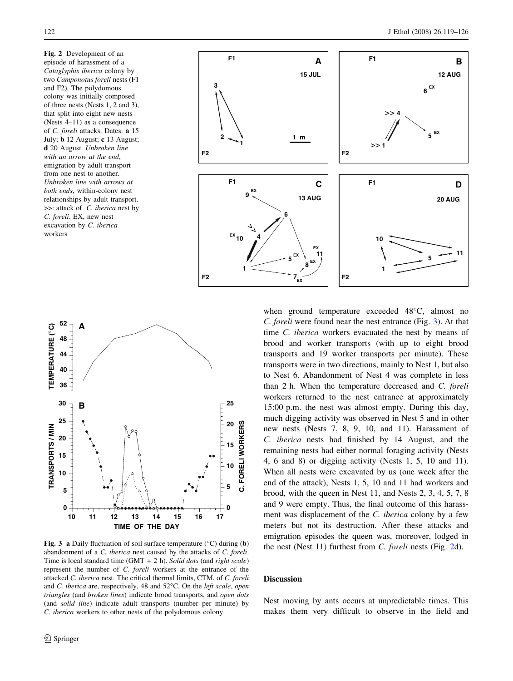<span id="page-3-0"></span>Fig. 2 Development of an episode of harassment of a Cataglyphis iberica colony by two Camponotus foreli nests (F1 and F2). The polydomous colony was initially composed of three nests (Nests 1, 2 and 3), that split into eight new nests (Nests 4–11) as a consequence of C. foreli attacks. Dates: a 15 July; b 12 August; c 13 August; d 20 August. Unbroken line with an arrow at the end, emigration by adult transport from one nest to another. Unbroken line with arrows at both ends, within-colony nest relationships by adult transport. >>: attack of C. iberica nest by C. foreli. EX, new nest excavation by C. iberica workers





Fig. 3 a Daily fluctuation of soil surface temperature ( $\degree$ C) during (b) abandonment of a C. iberica nest caused by the attacks of C. foreli. Time is local standard time  $(GMT + 2 h)$ . Solid dots (and right scale) represent the number of C. foreli workers at the entrance of the attacked C. iberica nest. The critical thermal limits, CTM, of C. foreli and C. iberica are, respectively, 48 and  $52^{\circ}$ C. On the *left scale, open* triangles (and broken lines) indicate brood transports, and open dots (and solid line) indicate adult transports (number per minute) by C. iberica workers to other nests of the polydomous colony

when ground temperature exceeded 48°C, almost no C. foreli were found near the nest entrance (Fig. 3). At that time C. iberica workers evacuated the nest by means of brood and worker transports (with up to eight brood transports and 19 worker transports per minute). These transports were in two directions, mainly to Nest 1, but also to Nest 6. Abandonment of Nest 4 was complete in less than 2 h. When the temperature decreased and C. foreli workers returned to the nest entrance at approximately 15:00 p.m. the nest was almost empty. During this day, much digging activity was observed in Nest 5 and in other new nests (Nests 7, 8, 9, 10, and 11). Harassment of C. iberica nests had finished by 14 August, and the remaining nests had either normal foraging activity (Nests 4, 6 and 8) or digging activity (Nests 1, 5, 10 and 11). When all nests were excavated by us (one week after the end of the attack), Nests 1, 5, 10 and 11 had workers and brood, with the queen in Nest 11, and Nests 2, 3, 4, 5, 7, 8 and 9 were empty. Thus, the final outcome of this harassment was displacement of the C. iberica colony by a few meters but not its destruction. After these attacks and emigration episodes the queen was, moreover, lodged in the nest (Nest 11) furthest from C. foreli nests (Fig. 2d).

#### **Discussion**

Nest moving by ants occurs at unpredictable times. This makes them very difficult to observe in the field and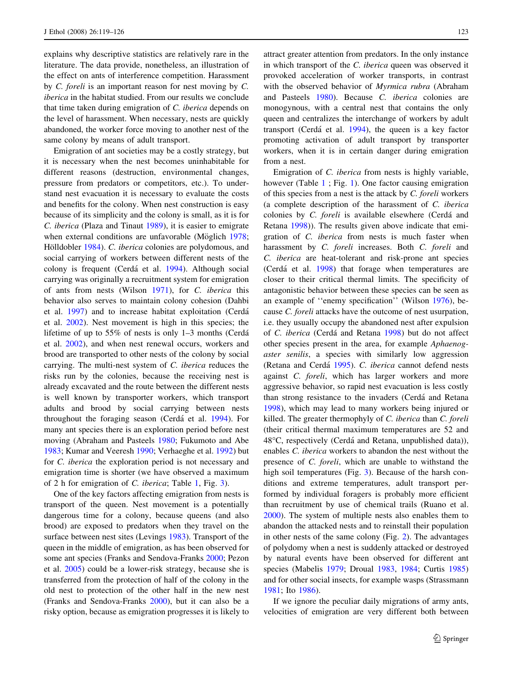explains why descriptive statistics are relatively rare in the literature. The data provide, nonetheless, an illustration of the effect on ants of interference competition. Harassment by C. foreli is an important reason for nest moving by C. iberica in the habitat studied. From our results we conclude that time taken during emigration of C. iberica depends on the level of harassment. When necessary, nests are quickly abandoned, the worker force moving to another nest of the same colony by means of adult transport.

Emigration of ant societies may be a costly strategy, but it is necessary when the nest becomes uninhabitable for different reasons (destruction, environmental changes, pressure from predators or competitors, etc.). To understand nest evacuation it is necessary to evaluate the costs and benefits for the colony. When nest construction is easy because of its simplicity and the colony is small, as it is for C. iberica (Plaza and Tinaut [1989](#page-6-0)), it is easier to emigrate when external conditions are unfavorable (Möglich [1978](#page-6-0); Hölldobler [1984](#page-6-0)). C. *iberica* colonies are polydomous, and social carrying of workers between different nests of the colony is frequent (Cerdá et al. [1994](#page-5-0)). Although social carrying was originally a recruitment system for emigration of ants from nests (Wilson [1971](#page-7-0)), for C. iberica this behavior also serves to maintain colony cohesion (Dahbi et al. [1997](#page-5-0)) and to increase habitat exploitation (Cerda´ et al. [2002\)](#page-5-0). Nest movement is high in this species; the lifetime of up to 55% of nests is only 1–3 months (Cerda´ et al. [2002](#page-5-0)), and when nest renewal occurs, workers and brood are transported to other nests of the colony by social carrying. The multi-nest system of C. iberica reduces the risks run by the colonies, because the receiving nest is already excavated and the route between the different nests is well known by transporter workers, which transport adults and brood by social carrying between nests throughout the foraging season (Cerdá et al. [1994\)](#page-5-0). For many ant species there is an exploration period before nest moving (Abraham and Pasteels [1980](#page-5-0); Fukumoto and Abe [1983;](#page-6-0) Kumar and Veeresh [1990](#page-6-0); Verhaeghe et al. [1992\)](#page-6-0) but for C. iberica the exploration period is not necessary and emigration time is shorter (we have observed a maximum of 2 h for emigration of C. iberica; Table [1,](#page-2-0) Fig. [3\)](#page-3-0).

One of the key factors affecting emigration from nests is transport of the queen. Nest movement is a potentially dangerous time for a colony, because queens (and also brood) are exposed to predators when they travel on the surface between nest sites (Levings [1983\)](#page-6-0). Transport of the queen in the middle of emigration, as has been observed for some ant species (Franks and Sendova-Franks [2000](#page-5-0); Pezon et al. [2005\)](#page-6-0) could be a lower-risk strategy, because she is transferred from the protection of half of the colony in the old nest to protection of the other half in the new nest (Franks and Sendova-Franks [2000](#page-5-0)), but it can also be a risky option, because as emigration progresses it is likely to attract greater attention from predators. In the only instance in which transport of the C. iberica queen was observed it provoked acceleration of worker transports, in contrast with the observed behavior of Myrmica rubra (Abraham and Pasteels [1980\)](#page-5-0). Because C. iberica colonies are monogynous, with a central nest that contains the only queen and centralizes the interchange of workers by adult transport (Cerdá et al. [1994\)](#page-5-0), the queen is a key factor promoting activation of adult transport by transporter workers, when it is in certain danger during emigration from a nest.

Emigration of C. iberica from nests is highly variable, however (Table [1](#page-2-0); Fig. [1\)](#page-2-0). One factor causing emigration of this species from a nest is the attack by C. foreli workers (a complete description of the harassment of C. iberica colonies by C. foreli is available elsewhere (Cerdá and Retana [1998](#page-5-0))). The results given above indicate that emigration of C. iberica from nests is much faster when harassment by C. foreli increases. Both C. foreli and C. iberica are heat-tolerant and risk-prone ant species (Cerdá et al. [1998\)](#page-5-0) that forage when temperatures are closer to their critical thermal limits. The specificity of antagonistic behavior between these species can be seen as an example of ''enemy specification'' (Wilson [1976](#page-7-0)), because C. foreli attacks have the outcome of nest usurpation, i.e. they usually occupy the abandoned nest after expulsion of C. *iberica* (Cerdá and Retana [1998](#page-5-0)) but do not affect other species present in the area, for example Aphaenogaster senilis, a species with similarly low aggression (Retana and Cerdá [1995](#page-6-0)). C. iberica cannot defend nests against C. foreli, which has larger workers and more aggressive behavior, so rapid nest evacuation is less costly than strong resistance to the invaders (Cerda´ and Retana [1998](#page-5-0)), which may lead to many workers being injured or killed. The greater thermophyly of C. iberica than C. foreli (their critical thermal maximum temperatures are 52 and 48°C, respectively (Cerdá and Retana, unpublished data)), enables C. iberica workers to abandon the nest without the presence of C. foreli, which are unable to withstand the high soil temperatures (Fig. [3\)](#page-3-0). Because of the harsh conditions and extreme temperatures, adult transport performed by individual foragers is probably more efficient than recruitment by use of chemical trails (Ruano et al. [2000](#page-6-0)). The system of multiple nests also enables them to abandon the attacked nests and to reinstall their population in other nests of the same colony (Fig. [2](#page-3-0)). The advantages of polydomy when a nest is suddenly attacked or destroyed by natural events have been observed for different ant species (Mabelis [1979](#page-6-0); Droual [1983](#page-5-0), [1984](#page-5-0); Curtis [1985\)](#page-5-0) and for other social insects, for example wasps (Strassmann [1981](#page-6-0); Ito [1986\)](#page-6-0).

If we ignore the peculiar daily migrations of army ants, velocities of emigration are very different both between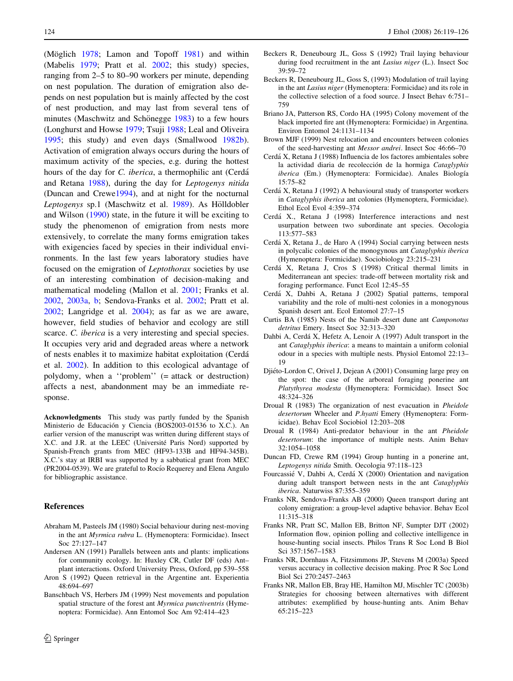<span id="page-5-0"></span>(Möglich  $1978$ ; Lamon and Topoff  $1981$ ) and within (Mabelis [1979;](#page-6-0) Pratt et al. [2002;](#page-6-0) this study) species, ranging from 2–5 to 80–90 workers per minute, depending on nest population. The duration of emigration also depends on nest population but is mainly affected by the cost of nest production, and may last from several tens of minutes (Maschwitz and Schönegge  $1983$ ) to a few hours (Longhurst and Howse [1979](#page-6-0); Tsuji [1988;](#page-6-0) Leal and Oliveira [1995;](#page-6-0) this study) and even days (Smallwood [1982b](#page-6-0)). Activation of emigration always occurs during the hours of maximum activity of the species, e.g. during the hottest hours of the day for *C. iberica*, a thermophilic ant (Cerdá and Retana 1988), during the day for Leptogenys nitida (Duncan and Crewe1994), and at night for the nocturnal Leptogenys sp.1 (Maschwitz et al. [1989\)](#page-6-0). As Hölldobler and Wilson ([1990\)](#page-6-0) state, in the future it will be exciting to study the phenomenon of emigration from nests more extensively, to correlate the many forms emigration takes with exigencies faced by species in their individual environments. In the last few years laboratory studies have focused on the emigration of Leptothorax societies by use of an interesting combination of decision-making and mathematical modeling (Mallon et al. [2001;](#page-6-0) Franks et al. 2002, 2003a, b; Sendova-Franks et al. 2002; Pratt et al. [2002;](#page-6-0) Langridge et al. [2004](#page-6-0)); as far as we are aware, however, field studies of behavior and ecology are still scarce. C. *iberica* is a very interesting and special species. It occupies very arid and degraded areas where a network of nests enables it to maximize habitat exploitation (Cerda´ et al. 2002). In addition to this ecological advantage of polydomy, when a ''problem'' (= attack or destruction) affects a nest, abandonment may be an immediate response.

Acknowledgments This study was partly funded by the Spanish Ministerio de Educación y Ciencia (BOS2003-01536 to X.C.). An earlier version of the manuscript was written during different stays of X.C. and J.R. at the LEEC (Université Paris Nord) supported by Spanish-French grants from MEC (HF93-133B and HF94-345B). X.C.'s stay at IRBI was supported by a sabbatical grant from MEC (PR2004-0539). We are grateful to Rocío Requerey and Elena Angulo for bibliographic assistance.

#### References

- Abraham M, Pasteels JM (1980) Social behaviour during nest-moving in the ant Myrmica rubra L. (Hymenoptera: Formicidae). Insect Soc 27:127–147
- Andersen AN (1991) Parallels between ants and plants: implications for community ecology. In: Huxley CR, Cutler DF (eds) Ant– plant interactions. Oxford University Press, Oxford, pp 539–558
- Aron S (1992) Queen retrieval in the Argentine ant. Experientia 48:694–697
- Banschbach VS, Herbers JM (1999) Nest movements and population spatial structure of the forest ant Myrmica punctiventris (Hymenoptera: Formicidae). Ann Entomol Soc Am 92:414–423
- Beckers R, Deneubourg JL, Goss S (1992) Trail laying behaviour during food recruitment in the ant Lasius niger (L.). Insect Soc 39:59–72
- Beckers R, Deneubourg JL, Goss S, (1993) Modulation of trail laying in the ant Lasius niger (Hymenoptera: Formicidae) and its role in the collective selection of a food source. J Insect Behav 6:751– 759
- Briano JA, Patterson RS, Cordo HA (1995) Colony movement of the black imported fire ant (Hymenoptera: Formicidae) in Argentina. Environ Entomol 24:1131–1134
- Brown MJF (1999) Nest relocation and encounters between colonies of the seed-harvesting ant Messor andrei. Insect Soc 46:66–70
- Cerda´ X, Retana J (1988) Influencia de los factores ambientales sobre la actividad diaria de recolección de la hormiga Cataglyphis iberica (Em.) (Hymenoptera: Formicidae). Anales Biología 15:75–82
- Cerda´ X, Retana J (1992) A behavioural study of transporter workers in Cataglyphis iberica ant colonies (Hymenoptera, Formicidae). Ethol Ecol Evol 4:359–374
- Cerda´ X., Retana J (1998) Interference interactions and nest usurpation between two subordinate ant species. Oecologia 113:577–583
- Cerda´ X, Retana J., de Haro A (1994) Social carrying between nests in polycalic colonies of the monogynous ant Cataglyphis iberica (Hymenoptera: Formicidae). Sociobiology 23:215–231
- Cerda´ X, Retana J, Cros S (1998) Critical thermal limits in Mediterranean ant species: trade-off between mortality risk and foraging performance. Funct Ecol 12:45–55
- Cerda´ X, Dahbi A, Retana J (2002) Spatial patterns, temporal variability and the role of multi-nest colonies in a monogynous Spanish desert ant. Ecol Entomol 27:7–15
- Curtis BA (1985) Nests of the Namib desert dune ant Camponotus detritus Emery. Insect Soc 32:313–320
- Dahbi A, Cerdá X, Hefetz A, Lenoir A (1997) Adult transport in the ant Cataglyphis iberica: a means to maintain a uniform colonial odour in a species with multiple nests. Physiol Entomol 22:13– 19
- Djiéto-Lordon C, Orivel J, Dejean A (2001) Consuming large prey on the spot: the case of the arboreal foraging ponerine ant Platythyrea modesta (Hymenoptera: Formicidae). Insect Soc 48:324–326
- Droual R (1983) The organization of nest evacuation in Pheidole desertorum Wheeler and P.hyatti Emery (Hymenoptera: Formicidae). Behav Ecol Sociobiol 12:203–208
- Droual R (1984) Anti-predator behaviour in the ant Pheidole desertorum: the importance of multiple nests. Anim Behav 32:1054–1058
- Duncan FD, Crewe RM (1994) Group hunting in a ponerine ant, Leptogenys nitida Smith. Oecologia 97:118–123
- Fourcassié V, Dahbi A, Cerdá X (2000) Orientation and navigation during adult transport between nests in the ant Cataglyphis iberica. Naturwiss 87:355–359
- Franks NR, Sendova-Franks AB (2000) Queen transport during ant colony emigration: a group-level adaptive behavior. Behav Ecol 11:315–318
- Franks NR, Pratt SC, Mallon EB, Britton NF, Sumpter DJT (2002) Information flow, opinion polling and collective intelligence in house-hunting social insects. Philos Trans R Soc Lond B Biol Sci 357:1567–1583
- Franks NR, Dornhaus A, Fitzsimmons JP, Stevens M (2003a) Speed versus accuracy in collective decision making. Proc R Soc Lond Biol Sci 270:2457–2463
- Franks NR, Mallon EB, Bray HE, Hamilton MJ, Mischler TC (2003b) Strategies for choosing between alternatives with different attributes: exemplified by house-hunting ants. Anim Behav 65:215–223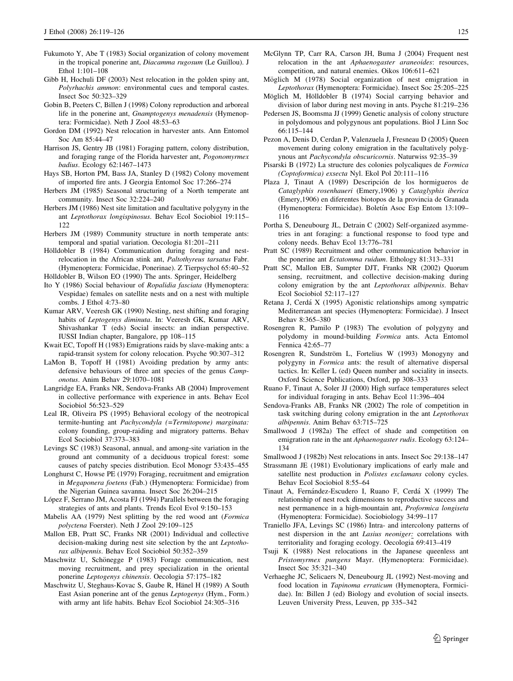- <span id="page-6-0"></span>Gibb H, Hochuli DF (2003) Nest relocation in the golden spiny ant, Polyrhachis ammon: environmental cues and temporal castes. Insect Soc 50:323–329
- Gobin B, Peeters C, Billen J (1998) Colony reproduction and arboreal life in the ponerine ant, Gnamptogenys menadensis (Hymenoptera: Formicidae). Neth J Zool 48:53–63
- Gordon DM (1992) Nest relocation in harvester ants. Ann Entomol Soc Am 85:44–47
- Harrison JS, Gentry JB (1981) Foraging pattern, colony distribution, and foraging range of the Florida harvester ant, Pogonomyrmex badius. Ecology 62:1467–1473
- Hays SB, Horton PM, Bass JA, Stanley D (1982) Colony movement of imported fire ants. J Georgia Entomol Soc 17:266–274
- Herbers JM (1985) Seasonal structuring of a North temperate ant community. Insect Soc 32:224–240
- Herbers JM (1986) Nest site limitation and facultative polygyny in the ant Leptothorax longispinosus. Behav Ecol Sociobiol 19:115– 122
- Herbers JM (1989) Community structure in north temperate ants: temporal and spatial variation. Oecologia 81:201–211
- Hölldobler B (1984) Communication during foraging and nestrelocation in the African stink ant, Paltothyreus tarsatus Fabr. (Hymenoptera: Formicidae, Ponerinae). Z Tierpsychol 65:40–52
- Hölldobler B, Wilson EO (1990) The ants. Springer, Heidelberg
- Ito Y (1986) Social behaviour of Ropalidia fasciata (Hymenoptera: Vespidae) females on satellite nests and on a nest with multiple combs. J Ethol 4:73–80
- Kumar ARV, Veeresh GK (1990) Nesting, nest shifting and foraging habits of Leptogenys diminuta. In: Veeresh GK, Kumar ARV, Shivashankar T (eds) Social insects: an indian perspective. IUSSI Indian chapter, Bangalore, pp 108–115
- Kwait EC, Topoff H (1983) Emigrations raids by slave-making ants: a rapid-transit system for colony relocation. Psyche 90:307–312
- LaMon B, Topoff H (1981) Avoiding predation by army ants: defensive behaviours of three ant species of the genus Camponotus. Anim Behav 29:1070–1081
- Langridge EA, Franks NR, Sendova-Franks AB (2004) Improvement in collective performance with experience in ants. Behav Ecol Sociobiol 56:523–529
- Leal IR, Oliveira PS (1995) Behavioral ecology of the neotropical termite-hunting ant Pachycondyla (=Termitopone) marginata: colony founding, group-raiding and migratory patterns. Behav Ecol Sociobiol 37:373–383
- Levings SC (1983) Seasonal, annual, and among-site variation in the ground ant community of a deciduous tropical forest: some causes of patchy species distribution. Ecol Monogr 53:435–455
- Longhurst C, Howse PE (1979) Foraging, recruitment and emigration in Megaponera foetens (Fab.) (Hymenoptera: Formicidae) from the Nigerian Guinea savanna. Insect Soc 26:204–215
- López F, Serrano JM, Acosta FJ (1994) Parallels between the foraging strategies of ants and plants. Trends Ecol Evol 9:150–153
- Mabelis AA (1979) Nest splitting by the red wood ant (Formica polyctena Foerster). Neth J Zool 29:109–125
- Mallon EB, Pratt SC, Franks NR (2001) Individual and collective decision-making during nest site selection by the ant Leptothorax albipennis. Behav Ecol Sociobiol 50:352–359
- Maschwitz U, Schönegge P (1983) Forage communication, nest moving recruitment, and prey specialization in the oriental ponerine Leptogenys chinensis. Oecologia 57:175–182
- Maschwitz U, Steghaus-Kovac S, Gaube R, Hänel H (1989) A South East Asian ponerine ant of the genus Leptogenys (Hym., Form.) with army ant life habits. Behav Ecol Sociobiol 24:305–316
- McGlynn TP, Carr RA, Carson JH, Buma J (2004) Frequent nest relocation in the ant Aphaenogaster araneoides: resources, competition, and natural enemies. Oikos 106:611–621
- Möglich M (1978) Social organization of nest emigration in Leptothorax (Hymenoptera: Formicidae). Insect Soc 25:205–225
- Möglich M, Hölldobler B (1974) Social carrying behavior and division of labor during nest moving in ants. Psyche 81:219–236
- Pedersen JS, Boomsma JJ (1999) Genetic analysis of colony structure in polydomous and polygynous ant populations. Biol J Linn Soc 66:115–144
- Pezon A, Denis D, Cerdan P, Valenzuela J, Fresneau D (2005) Queen movement during colony emigration in the facultatively polygynous ant Pachycondyla obscuricornis. Naturwiss 92:35–39
- Pisarski B (1972) La structure des colonies polycaliques de Formica (Coptoformica) exsecta Nyl. Ekol Pol 20:111–116
- Plaza J, Tinaut A (1989) Descripción de los hormigueros de Cataglyphis rosenhaueri (Emery,1906) y Cataglyphis iberica (Emery,1906) en diferentes biotopos de la provincia de Granada (Hymenoptera: Formicidae). Boletín Asoc Esp Entom 13:109– 116
- Portha S, Deneubourg JL, Detrain C (2002) Self-organized asymmetries in ant foraging: a functional response to food type and colony needs. Behav Ecol 13:776–781
- Pratt SC (1989) Recruitment and other communication behavior in the ponerine ant Ectatomma ruidum. Ethology 81:313–331
- Pratt SC, Mallon EB, Sumpter DJT, Franks NR (2002) Quorum sensing, recruitment, and collective decision-making during colony emigration by the ant Leptothorax albipennis. Behav Ecol Sociobiol 52:117–127
- Retana J, Cerda´ X (1995) Agonistic relationships among sympatric Mediterranean ant species (Hymenoptera: Formicidae). J Insect Behav 8:365–380
- Rosengren R, Pamilo P (1983) The evolution of polygyny and polydomy in mound-building Formica ants. Acta Entomol Fennica 42:65–77
- Rosengren R, Sundström L, Fortelius W (1993) Monogyny and polygyny in Formica ants: the result of alternative dispersal tactics. In: Keller L (ed) Queen number and sociality in insects. Oxford Science Publications, Oxford, pp 308–333
- Ruano F, Tinaut A, Soler JJ (2000) High surface temperatures select for individual foraging in ants. Behav Ecol 11:396–404
- Sendova-Franks AB, Franks NR (2002) The role of competition in task switching during colony emigration in the ant Leptothorax albipennis. Anim Behav 63:715–725
- Smallwood J (1982a) The effect of shade and competition on emigration rate in the ant Aphaenogaster rudis. Ecology 63:124– 134
- Smallwood J (1982b) Nest relocations in ants. Insect Soc 29:138–147
- Strassmann JE (1981) Evolutionary implications of early male and satellite nest production in Polistes exclamans colony cycles. Behav Ecol Sociobiol 8:55–64
- Tinaut A, Fernández-Escudero I, Ruano F, Cerdá X (1999) The relationship of nest rock dimensions to reproductive success and nest permanence in a high-mountain ant, Proformica longiseta (Hymenoptera: Formicidae). Sociobiology 34:99–117
- Traniello JFA, Levings SC (1986) Intra- and intercolony patterns of nest dispersion in the ant Lasius neoniger: correlations with territoriality and foraging ecology. Oecologia 69:413–419
- Tsuji K (1988) Nest relocations in the Japanese queenless ant Pristomyrmex pungens Mayr. (Hymenoptera: Formicidae). Insect Soc 35:321–340
- Verhaeghe JC, Selicaers N, Deneubourg JL (1992) Nest-moving and food location in Tapinoma erraticum (Hymenoptera, Formicidae). In: Billen J (ed) Biology and evolution of social insects. Leuven University Press, Leuven, pp 335–342